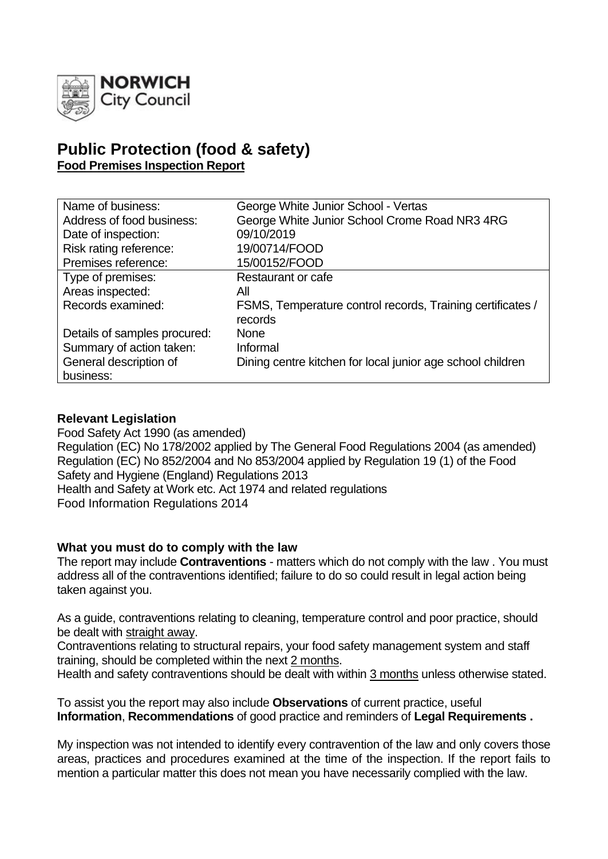

# **Public Protection (food & safety) Food Premises Inspection Report**

| Name of business:            | George White Junior School - Vertas                                   |
|------------------------------|-----------------------------------------------------------------------|
| Address of food business:    | George White Junior School Crome Road NR3 4RG                         |
| Date of inspection:          | 09/10/2019                                                            |
| Risk rating reference:       | 19/00714/FOOD                                                         |
| Premises reference:          | 15/00152/FOOD                                                         |
| Type of premises:            | Restaurant or cafe                                                    |
| Areas inspected:             | All                                                                   |
| Records examined:            | FSMS, Temperature control records, Training certificates /<br>records |
| Details of samples procured: | <b>None</b>                                                           |
| Summary of action taken:     | Informal                                                              |
| General description of       | Dining centre kitchen for local junior age school children            |
| business:                    |                                                                       |

### **Relevant Legislation**

Food Safety Act 1990 (as amended) Regulation (EC) No 178/2002 applied by The General Food Regulations 2004 (as amended) Regulation (EC) No 852/2004 and No 853/2004 applied by Regulation 19 (1) of the Food Safety and Hygiene (England) Regulations 2013 Health and Safety at Work etc. Act 1974 and related regulations Food Information Regulations 2014

### **What you must do to comply with the law**

The report may include **Contraventions** - matters which do not comply with the law . You must address all of the contraventions identified; failure to do so could result in legal action being taken against you.

As a guide, contraventions relating to cleaning, temperature control and poor practice, should be dealt with straight away.

Contraventions relating to structural repairs, your food safety management system and staff training, should be completed within the next 2 months.

Health and safety contraventions should be dealt with within 3 months unless otherwise stated.

To assist you the report may also include **Observations** of current practice, useful **Information**, **Recommendations** of good practice and reminders of **Legal Requirements .**

My inspection was not intended to identify every contravention of the law and only covers those areas, practices and procedures examined at the time of the inspection. If the report fails to mention a particular matter this does not mean you have necessarily complied with the law.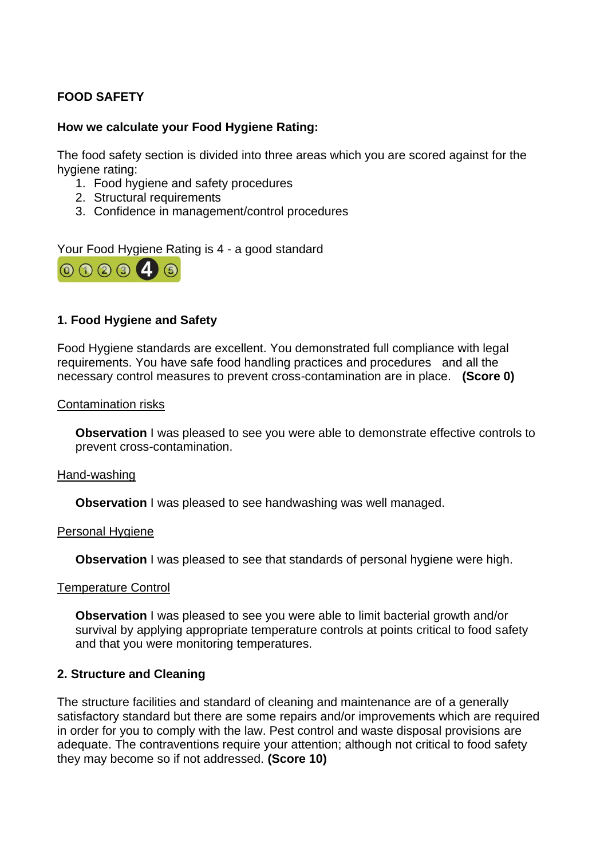# **FOOD SAFETY**

## **How we calculate your Food Hygiene Rating:**

The food safety section is divided into three areas which you are scored against for the hygiene rating:

- 1. Food hygiene and safety procedures
- 2. Structural requirements
- 3. Confidence in management/control procedures

Your Food Hygiene Rating is 4 - a good standard



# **1. Food Hygiene and Safety**

Food Hygiene standards are excellent. You demonstrated full compliance with legal requirements. You have safe food handling practices and procedures and all the necessary control measures to prevent cross-contamination are in place. **(Score 0)**

#### Contamination risks

**Observation** I was pleased to see you were able to demonstrate effective controls to prevent cross-contamination.

#### Hand-washing

**Observation** I was pleased to see handwashing was well managed.

### Personal Hygiene

**Observation** I was pleased to see that standards of personal hygiene were high.

### Temperature Control

**Observation** I was pleased to see you were able to limit bacterial growth and/or survival by applying appropriate temperature controls at points critical to food safety and that you were monitoring temperatures.

### **2. Structure and Cleaning**

The structure facilities and standard of cleaning and maintenance are of a generally satisfactory standard but there are some repairs and/or improvements which are required in order for you to comply with the law. Pest control and waste disposal provisions are adequate. The contraventions require your attention; although not critical to food safety they may become so if not addressed. **(Score 10)**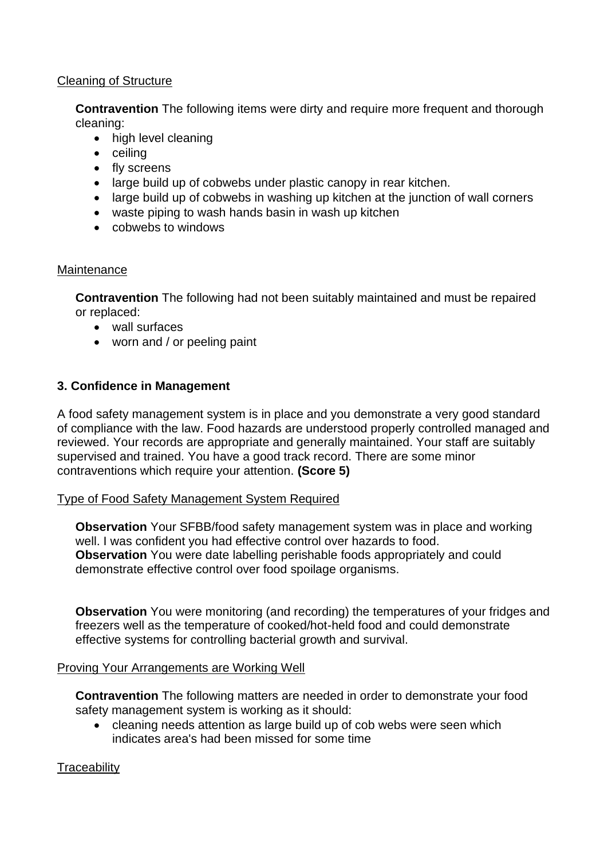### Cleaning of Structure

**Contravention** The following items were dirty and require more frequent and thorough cleaning:

- high level cleaning
- ceiling
- fly screens
- large build up of cobwebs under plastic canopy in rear kitchen.
- large build up of cobwebs in washing up kitchen at the junction of wall corners
- waste piping to wash hands basin in wash up kitchen
- cobwebs to windows

## **Maintenance**

**Contravention** The following had not been suitably maintained and must be repaired or replaced:

- wall surfaces
- worn and / or peeling paint

# **3. Confidence in Management**

A food safety management system is in place and you demonstrate a very good standard of compliance with the law. Food hazards are understood properly controlled managed and reviewed. Your records are appropriate and generally maintained. Your staff are suitably supervised and trained. You have a good track record. There are some minor contraventions which require your attention. **(Score 5)**

# Type of Food Safety Management System Required

**Observation** Your SFBB/food safety management system was in place and working well. I was confident you had effective control over hazards to food. **Observation** You were date labelling perishable foods appropriately and could demonstrate effective control over food spoilage organisms.

**Observation** You were monitoring (and recording) the temperatures of your fridges and freezers well as the temperature of cooked/hot-held food and could demonstrate effective systems for controlling bacterial growth and survival.

# Proving Your Arrangements are Working Well

**Contravention** The following matters are needed in order to demonstrate your food safety management system is working as it should:

• cleaning needs attention as large build up of cob webs were seen which indicates area's had been missed for some time

# **Traceability**